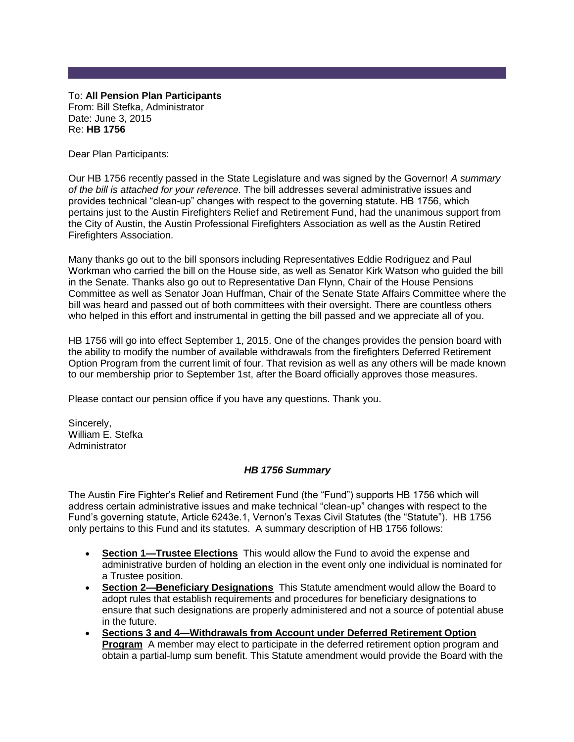To: **All Pension Plan Participants** From: Bill Stefka, Administrator Date: June 3, 2015 Re: **HB 1756**

Dear Plan Participants:

Our HB 1756 recently passed in the State Legislature and was signed by the Governor! *A summary of the bill is attached for your reference.* The bill addresses several administrative issues and provides technical "clean-up" changes with respect to the governing statute. HB 1756, which pertains just to the Austin Firefighters Relief and Retirement Fund, had the unanimous support from the City of Austin, the Austin Professional Firefighters Association as well as the Austin Retired Firefighters Association.

Many thanks go out to the bill sponsors including Representatives Eddie Rodriguez and Paul Workman who carried the bill on the House side, as well as Senator Kirk Watson who guided the bill in the Senate. Thanks also go out to Representative Dan Flynn, Chair of the House Pensions Committee as well as Senator Joan Huffman, Chair of the Senate State Affairs Committee where the bill was heard and passed out of both committees with their oversight. There are countless others who helped in this effort and instrumental in getting the bill passed and we appreciate all of you.

HB 1756 will go into effect September 1, 2015. One of the changes provides the pension board with the ability to modify the number of available withdrawals from the firefighters Deferred Retirement Option Program from the current limit of four. That revision as well as any others will be made known to our membership prior to September 1st, after the Board officially approves those measures.

Please contact our pension office if you have any questions. Thank you.

Sincerely, William E. Stefka Administrator

## *HB 1756 Summary*

The Austin Fire Fighter's Relief and Retirement Fund (the "Fund") supports HB 1756 which will address certain administrative issues and make technical "clean-up" changes with respect to the Fund's governing statute, Article 6243e.1, Vernon's Texas Civil Statutes (the "Statute"). HB 1756 only pertains to this Fund and its statutes. A summary description of HB 1756 follows:

- **Section 1—Trustee Elections** This would allow the Fund to avoid the expense and administrative burden of holding an election in the event only one individual is nominated for a Trustee position.
- **Section 2—Beneficiary Designations** This Statute amendment would allow the Board to adopt rules that establish requirements and procedures for beneficiary designations to ensure that such designations are properly administered and not a source of potential abuse in the future.
- **Sections 3 and 4—Withdrawals from Account under Deferred Retirement Option Program** A member may elect to participate in the deferred retirement option program and obtain a partial-lump sum benefit. This Statute amendment would provide the Board with the